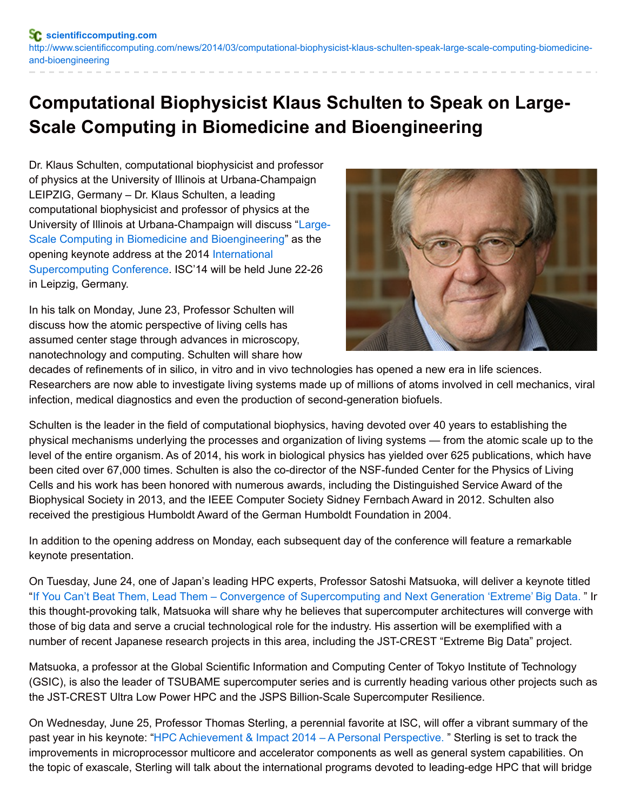## **Computational Biophysicist Klaus Schulten to Speak on Large-Scale Computing in Biomedicine and Bioengineering**

Dr. Klaus Schulten, computational biophysicist and professor of physics at the University of Illinois at Urbana-Champaign LEIPZIG, Germany – Dr. Klaus Schulten, a leading computational biophysicist and professor of physics at the University of Illinois at [Urbana-Champaign](http://cp.mcafee.com/d/2DRPosrhpd7bXa8VMQsTdTdETpvd7barX29J6XbVEVpjvuvdETp79Lf6zBcsrhKOevjKqem7zt6Njog_FNSNo5qwpS4Z8-HW4JVsTG1DojQzWLEiTBPrN0wxGrb_nV5OWq9EVuWZOWtXEYCOed7bxEVoVqWtAkRrKcsG7DR8OJMddECQm3t-ph7n7cEzHzztPo0alb5_c_2tenOlb8IpqI7vzYbuaBvbgHf-1NK6AvFR9vg_r5glaBy_CvxeDbCTXLcLc6M5H4Z0K2_xkN3Q3h09llmrDIVlxFVEw6plm9BGiJaAM3d4057WTgQg35yrpY_wq89Rd40tVYzfNd40qc2hEDhod405umxmvCTCjuMutTJ9O) will discuss "Large-Scale Computing in Biomedicine and Bioengineering" as the opening keynote address at the 2014 International [Supercomputing](http://cp.mcafee.com/d/5fHCNAq43qb9EVvph7e6zCVKVJ6XbVEVpjvohdETpvd7barXPVJ6X8VdVUQsFzzqdShPWtPhOMYrESar27ZeeSb0Hk3eMDF7RvgBLbCZgcX2uAvlZ2mYKru844djpvW_8Knjhd7bTnKnjLt7AShNEVsd7b7bnjIyCHtNzBgY-F6lK1FJcSyMrLPa8WUVB4tssrKr01iFoLVDUjFO-iFp5z3sd8_jGi-x-SawGlb5_c_2tendLTupuodwbm9W1s5_2Fy7E6y0iGGITfpOH3jPh0cOGIjbkBql9w6q80afRKxEw6b4SPV_0QgjGq80XPV6vyq80Qo4zheyMq80aYJ2I_dLcCQACisa1t9tC9) Conference. ISC'14 will be held June 22-26 in Leipzig, Germany.

In his talk on Monday, June 23, Professor Schulten will discuss how the atomic perspective of living cells has assumed center stage through advances in microscopy, nanotechnology and computing. Schulten will share how



decades of refinements of in silico, in vitro and in vivo technologies has opened a new era in life sciences. Researchers are now able to investigate living systems made up of millions of atoms involved in cell mechanics, viral infection, medical diagnostics and even the production of second-generation biofuels.

Schulten is the leader in the field of computational biophysics, having devoted over 40 years to establishing the physical mechanisms underlying the processes and organization of living systems — from the atomic scale up to the level of the entire organism. As of 2014, his work in biological physics has yielded over 625 publications, which have been cited over 67,000 times. Schulten is also the co-director of the NSF-funded Center for the Physics of Living Cells and his work has been honored with numerous awards, including the Distinguished Service Award of the Biophysical Society in 2013, and the IEEE Computer Society Sidney Fernbach Award in 2012. Schulten also received the prestigious Humboldt Award of the German Humboldt Foundation in 2004.

In addition to the opening address on Monday, each subsequent day of the conference will feature a remarkable keynote presentation.

On Tuesday, June 24, one of Japan's leading HPC experts, Professor Satoshi Matsuoka, will deliver a keynote titled "If You Can't Beat Them, Lead Them – Convergence of [Supercomputing](http://cp.mcafee.com/d/2DRPowrhpd7bXa8VMQsTdTdETpvd7barX29J6XbVEVpjvuvdETp79Lf6zBcsrhKOevjKqem7zt6Njog_FNSNo5qwpS4Z8-HW4JVsTG1DojQzWLEiTBPrN0wxGrb_nV5OWq9EVuWZOWtXEYCOed7bxEVoVqWtAkRrKcsG7DR8OJMddICQm3t-ph7n7cEzHzztPo0alb5_c_2tenOlb8IpdLW8qm5iLBElD_0UT3ifQWALEvJyEaBiNvPfMDjBPrZTCnC3o2Ryuwn1vMGoxW1Ew4GGHdPSsGMQYQg3cGH4OR9mBio1Cy02zZrEq81yNdI-vMd44WCy0eY-hDUCy0d618QjEI6y02LbgHfPrP9JsrD2Uu-0sO2) and Next Generation 'Extreme' Big Data. " Ir this thought-provoking talk, Matsuoka will share why he believes that supercomputer architectures will converge with those of big data and serve a crucial technological role for the industry. His assertion will be exemplified with a number of recent Japanese research projects in this area, including the JST-CREST "Extreme Big Data" project.

Matsuoka, a professor at the Global Scientific Information and Computing Center of Tokyo Institute of Technology (GSIC), is also the leader of TSUBAME supercomputer series and is currently heading various other projects such as the JST-CREST Ultra Low Power HPC and the JSPS Billion-Scale Supercomputer Resilience.

On Wednesday, June 25, Professor Thomas Sterling, a perennial favorite at ISC, will offer a vibrant summary of the past year in his keynote: "HPC [Achievement](http://cp.mcafee.com/d/FZsS92hJ5AQsLIEzD3hPsTsSztBYQsIFLI8CQrILCzBBdZVYSztAsCYYqekNNJ6X8VZeVEVoudQr5dx3-D7r5wlG1DojQzWLEiTBPuE6txfifG-xbundL4226FILZvAnbFECzBXHTbFTKzOr8UQsK6zBzBHFShjlKUNOEuvkzaT0QSMrhodTVB4tssOyeKedTdw0FkInYPY9QVv9kIyNxzQ8vh3iNsHVq5p_MedMQzZeFbW7XoG2FkInYPY9QVsS_tVBVwS0JoDE5MnYaC8uwq81aGGPsZDaIdfd40PaGNcJilFkC0pEw0E_mW6y0oIjrfDY3h1eFEw3LfAp-9Ew3hwid4Wb1Ew0HOQaPYSYOr7kfE) & Impact 2014 – A Personal Perspective. " Sterling is set to track the improvements in microprocessor multicore and accelerator components as well as general system capabilities. On the topic of exascale, Sterling will talk about the international programs devoted to leading-edge HPC that will bridge